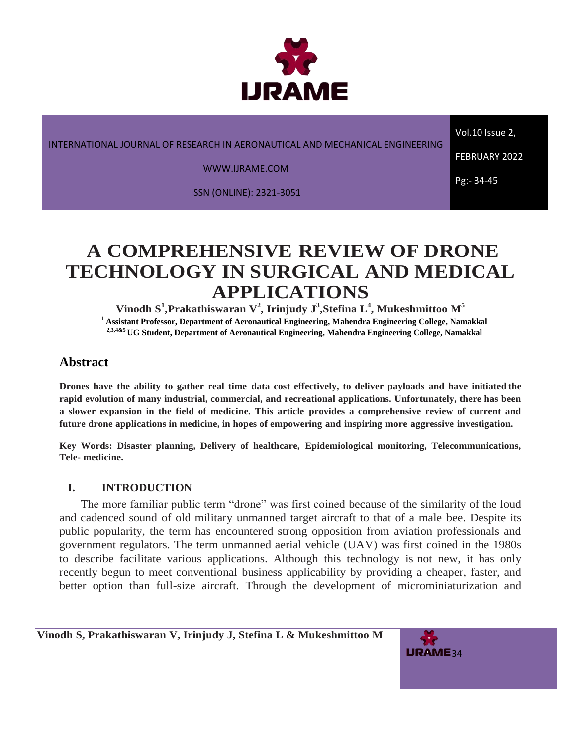

INTERNATIONAL JOURNAL OF RESEARCH IN AERONAUTICAL AND MECHANICAL ENGINEERING

WWW.IJRAME.COM

ISSN (ONLINE): 2321-3051

Vol.10 Issue 2, FEBRUARY 2022

Pg:- 34-45

# **A COMPREHENSIVE REVIEW OF DRONE TECHNOLOGY IN SURGICAL AND MEDICAL APPLICATIONS**

 $\mathbf{V}^{\mathbf{i}}$ ,  $\mathbf{P}^{\mathbf{i}}$  and  $\mathbf{F}^{\mathbf{j}}$  and  $\mathbf{V}^{\mathbf{k}}$  are individy  $\mathbf{J}^{\mathbf{j}}$ ,  $\mathbf{S}$  tefina  $\mathbf{L}^{\mathbf{4}}$ ,  $\mathbf{M}$  ukeshmittoo  $\mathbf{M}^{\mathbf{5}}$ **<sup>1</sup>Assistant Professor, Department of Aeronautical Engineering, Mahendra Engineering College, Namakkal 2,3,4&5 UG Student, Department of Aeronautical Engineering, Mahendra Engineering College, Namakkal**

# **Abstract**

**Drones have the ability to gather real time data cost effectively, to deliver payloads and have initiated the rapid evolution of many industrial, commercial, and recreational applications. Unfortunately, there has been a slower expansion in the field of medicine. This article provides a comprehensive review of current and future drone applications in medicine, in hopes of empowering and inspiring more aggressive investigation.**

**Key Words: Disaster planning, Delivery of healthcare, Epidemiological monitoring, Telecommunications, Tele- medicine.**

## **I. INTRODUCTION**

The more familiar public term "drone" was first coined because of the similarity of the loud and cadenced sound of old military unmanned target aircraft to that of a male bee. Despite its public popularity, the term has encountered strong opposition from aviation professionals and government regulators. The term unmanned aerial vehicle (UAV) was first coined in the 1980s to describe facilitate various applications. Although this technology is not new, it has only recently begun to meet conventional business applicability by providing a cheaper, faster, and better option than full-size aircraft. Through the development of microminiaturization and

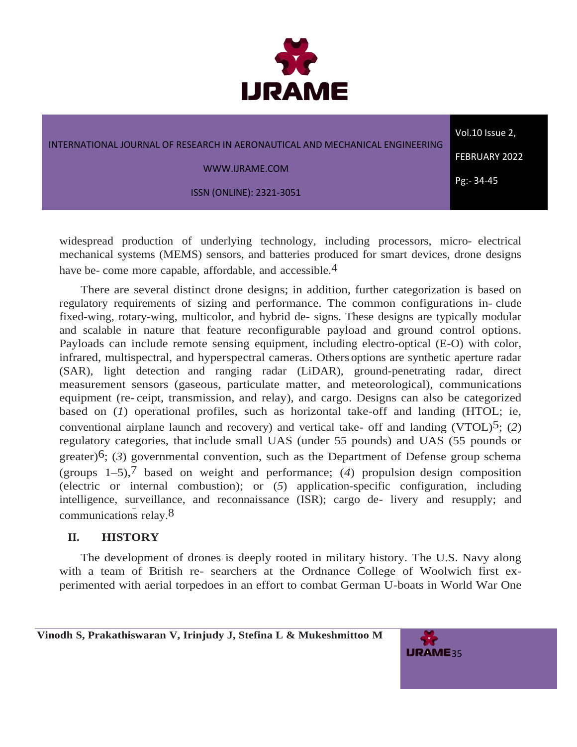

| INTERNATIONAL JOURNAL OF RESEARCH IN AERONAUTICAL AND MECHANICAL ENGINEERING | Vol.10 Issue 2,      |
|------------------------------------------------------------------------------|----------------------|
| WWW.IJRAME.COM                                                               | <b>FEBRUARY 2022</b> |
| <b>ISSN (ONLINE): 2321-3051</b>                                              | Pg:- 34-45           |
|                                                                              |                      |

widespread production of underlying technology, including processors, micro- electrical mechanical systems (MEMS) sensors, and batteries produced for smart devices, drone designs have be- come more capable, affordable, and accessible.<sup>4</sup>

There are several distinct drone designs; in addition, further categorization is based on regulatory requirements of sizing and performance. The common configurations in- clude fixed-wing, rotary-wing, multicolor, and hybrid de- signs. These designs are typically modular and scalable in nature that feature reconfigurable payload and ground control options. Payloads can include remote sensing equipment, including electro-optical (E-O) with color, infrared, multispectral, and hyperspectral cameras. Others options are synthetic aperture radar (SAR), light detection and ranging radar (LiDAR), ground-penetrating radar, direct measurement sensors (gaseous, particulate matter, and meteorological), communications equipment (re- ceipt, transmission, and relay), and cargo. Designs can also be categorized based on (*1*) operational profiles, such as horizontal take-off and landing (HTOL; ie, conventional airplane launch and recovery) and vertical take- off and landing (VTOL)5; (*2*) regulatory categories, that include small UAS (under 55 pounds) and UAS (55 pounds or greater)6; (*3*) governmental convention, such as the Department of Defense group schema (groups 1–5),7 based on weight and performance; (*4*) propulsion design composition (electric or internal combustion); or (*5*) application-specific configuration, including intelligence, surveillance, and reconnaissance (ISR); cargo de- livery and resupply; and communications relay.8

## **II. HISTORY**

The development of drones is deeply rooted in military history. The U.S. Navy along with a team of British re- searchers at the Ordnance College of Woolwich first experimented with aerial torpedoes in an effort to combat German U-boats in World War One

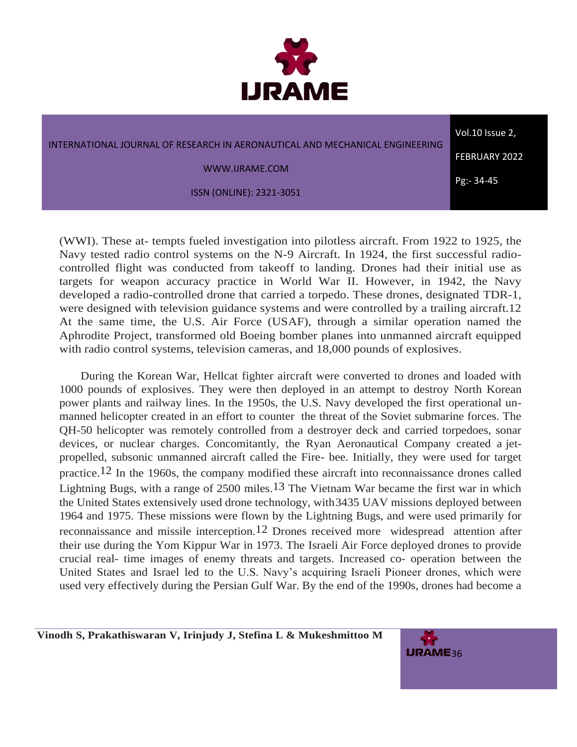

| INTERNATIONAL JOURNAL OF RESEARCH IN AERONAUTICAL AND MECHANICAL ENGINEERING | Vol.10 Issue 2,      |
|------------------------------------------------------------------------------|----------------------|
|                                                                              | <b>FEBRUARY 2022</b> |
| WWW.IJRAME.COM                                                               | Pg:-34-45            |
| <b>ISSN (ONLINE): 2321-3051</b>                                              |                      |

(WWI). These at- tempts fueled investigation into pilotless aircraft. From 1922 to 1925, the Navy tested radio control systems on the N-9 Aircraft. In 1924, the first successful radiocontrolled flight was conducted from takeoff to landing. Drones had their initial use as targets for weapon accuracy practice in World War II. However, in 1942, the Navy developed a radio-controlled drone that carried a torpedo. These drones, designated TDR-1, were designed with television guidance systems and were controlled by a trailing aircraft.12 At the same time, the U.S. Air Force (USAF), through a similar operation named the Aphrodite Project, transformed old Boeing bomber planes into unmanned aircraft equipped with radio control systems, television cameras, and 18,000 pounds of explosives.

During the Korean War, Hellcat fighter aircraft were converted to drones and loaded with 1000 pounds of explosives. They were then deployed in an attempt to destroy North Korean power plants and railway lines. In the 1950s, the U.S. Navy developed the first operational unmanned helicopter created in an effort to counter the threat of the Soviet submarine forces. The QH-50 helicopter was remotely controlled from a destroyer deck and carried torpedoes, sonar devices, or nuclear charges. Concomitantly, the Ryan Aeronautical Company created a jetpropelled, subsonic unmanned aircraft called the Fire- bee. Initially, they were used for target practice.12 In the 1960s, the company modified these aircraft into reconnaissance drones called Lightning Bugs, with a range of 2500 miles.<sup>13</sup> The Vietnam War became the first war in which the United States extensively used drone technology, with3435 UAV missions deployed between 1964 and 1975. These missions were flown by the Lightning Bugs, and were used primarily for reconnaissance and missile interception.12 Drones received more widespread attention after their use during the Yom Kippur War in 1973. The Israeli Air Force deployed drones to provide crucial real- time images of enemy threats and targets. Increased co- operation between the United States and Israel led to the U.S. Navy's acquiring Israeli Pioneer drones, which were used very effectively during the Persian Gulf War. By the end of the 1990s, drones had become a

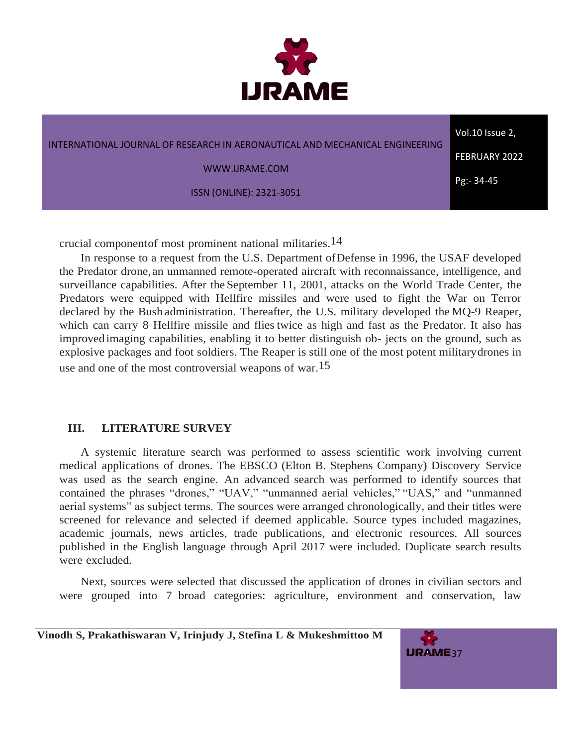

| INTERNATIONAL JOURNAL OF RESEARCH IN AERONAUTICAL AND MECHANICAL ENGINEERING | Vol.10 Issue 2,      |
|------------------------------------------------------------------------------|----------------------|
|                                                                              | <b>FEBRUARY 2022</b> |
| WWW.IJRAME.COM                                                               | $Pg - 34 - 45$       |
| <b>ISSN (ONLINE): 2321-3051</b>                                              |                      |

crucial componentof most prominent national militaries.14

In response to a request from the U.S. Department ofDefense in 1996, the USAF developed the Predator drone, an unmanned remote-operated aircraft with reconnaissance, intelligence, and surveillance capabilities. After the September 11, 2001, attacks on the World Trade Center, the Predators were equipped with Hellfire missiles and were used to fight the War on Terror declared by the Bush administration. Thereafter, the U.S. military developed the MQ-9 Reaper, which can carry 8 Hellfire missile and flies twice as high and fast as the Predator. It also has improved imaging capabilities, enabling it to better distinguish ob- jects on the ground, such as explosive packages and foot soldiers. The Reaper is still one of the most potent militarydrones in use and one of the most controversial weapons of war.<sup>15</sup>

## **III. LITERATURE SURVEY**

A systemic literature search was performed to assess scientific work involving current medical applications of drones. The EBSCO (Elton B. Stephens Company) Discovery Service was used as the search engine. An advanced search was performed to identify sources that contained the phrases "drones," "UAV," "unmanned aerial vehicles," "UAS," and "unmanned aerial systems" as subject terms. The sources were arranged chronologically, and their titles were screened for relevance and selected if deemed applicable. Source types included magazines, academic journals, news articles, trade publications, and electronic resources. All sources published in the English language through April 2017 were included. Duplicate search results were excluded.

Next, sources were selected that discussed the application of drones in civilian sectors and were grouped into 7 broad categories: agriculture, environment and conservation, law

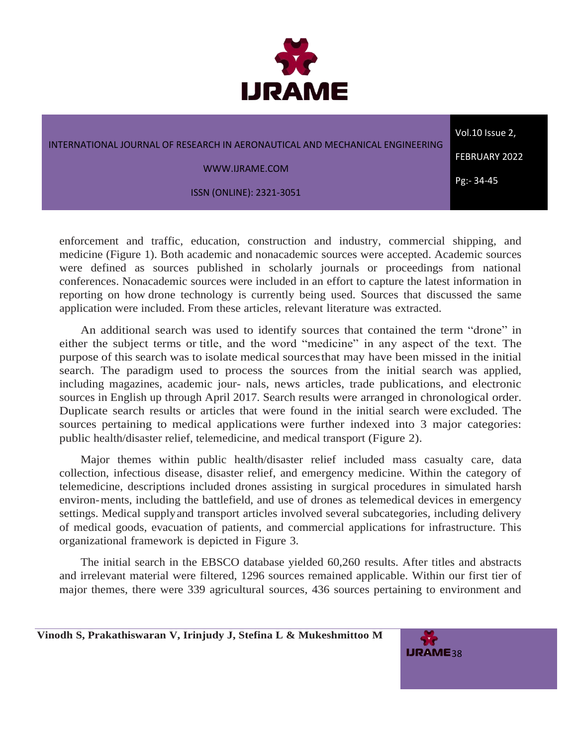

| INTERNATIONAL JOURNAL OF RESEARCH IN AERONAUTICAL AND MECHANICAL ENGINEERING | Vol.10 Issue 2,      |
|------------------------------------------------------------------------------|----------------------|
| WWW.IJRAME.COM                                                               | <b>FEBRUARY 2022</b> |
|                                                                              | Pg:-34-45            |
| <b>ISSN (ONLINE): 2321-3051</b>                                              |                      |

enforcement and traffic, education, construction and industry, commercial shipping, and medicine (Figure 1). Both academic and nonacademic sources were accepted. Academic sources were defined as sources published in scholarly journals or proceedings from national conferences. Nonacademic sources were included in an effort to capture the latest information in reporting on how drone technology is currently being used. Sources that discussed the same application were included. From these articles, relevant literature was extracted.

An additional search was used to identify sources that contained the term "drone" in either the subject terms or title, and the word "medicine" in any aspect of the text. The purpose of this search was to isolate medical sourcesthat may have been missed in the initial search. The paradigm used to process the sources from the initial search was applied, including magazines, academic jour- nals, news articles, trade publications, and electronic sources in English up through April 2017. Search results were arranged in chronological order. Duplicate search results or articles that were found in the initial search were excluded. The sources pertaining to medical applications were further indexed into 3 major categories: public health/disaster relief, telemedicine, and medical transport (Figure 2).

Major themes within public health/disaster relief included mass casualty care, data collection, infectious disease, disaster relief, and emergency medicine. Within the category of telemedicine, descriptions included drones assisting in surgical procedures in simulated harsh environ-ments, including the battlefield, and use of drones as telemedical devices in emergency settings. Medical supplyand transport articles involved several subcategories, including delivery of medical goods, evacuation of patients, and commercial applications for infrastructure. This organizational framework is depicted in Figure 3.

The initial search in the EBSCO database yielded 60,260 results. After titles and abstracts and irrelevant material were filtered, 1296 sources remained applicable. Within our first tier of major themes, there were 339 agricultural sources, 436 sources pertaining to environment and

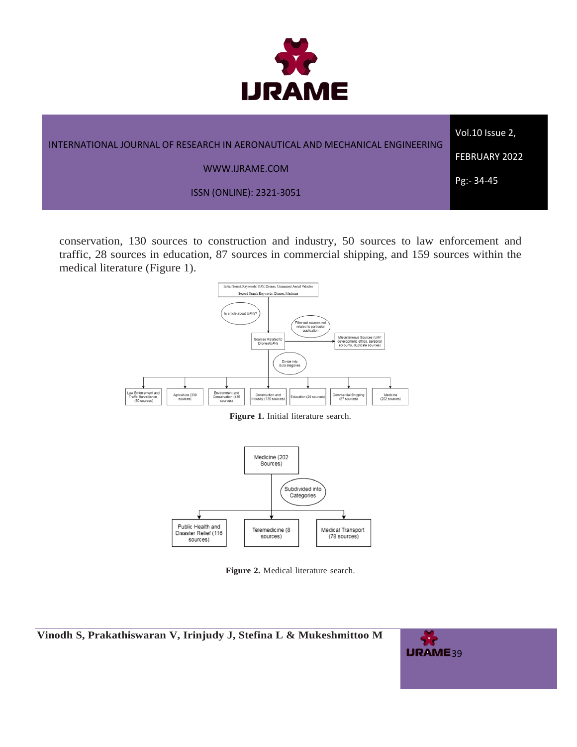

| INTERNATIONAL JOURNAL OF RESEARCH IN AERONAUTICAL AND MECHANICAL ENGINEERING<br><b>FEBRUARY 2022</b><br>WWW.IJRAME.COM |  |
|------------------------------------------------------------------------------------------------------------------------|--|
| Pg:- 34-45<br><b>ISSN (ONLINE): 2321-3051</b>                                                                          |  |

conservation, 130 sources to construction and industry, 50 sources to law enforcement and traffic, 28 sources in education, 87 sources in commercial shipping, and 159 sources within the medical literature (Figure 1).



**Figure 1.** Initial literature search.



**Figure 2.** Medical literature search.

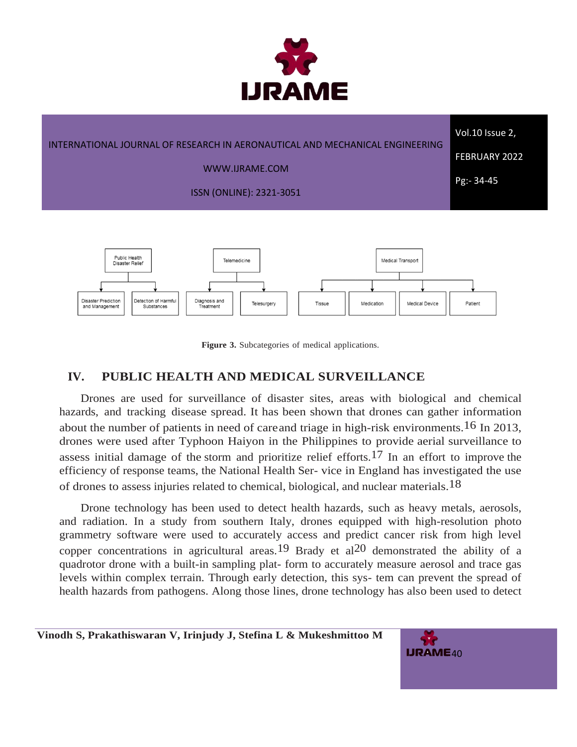

| INTERNATIONAL JOURNAL OF RESEARCH IN AERONAUTICAL AND MECHANICAL ENGINEERING | Vol.10 Issue 2,      |
|------------------------------------------------------------------------------|----------------------|
| WWW.IJRAME.COM                                                               | <b>FEBRUARY 2022</b> |
| ISSN (ONLINE): 2321-3051                                                     | Pg:-34-45            |
|                                                                              |                      |



**Figure 3.** Subcategories of medical applications.

# **IV. PUBLIC HEALTH AND MEDICAL SURVEILLANCE**

Drones are used for surveillance of disaster sites, areas with biological and chemical hazards, and tracking disease spread. It has been shown that drones can gather information about the number of patients in need of careand triage in high-risk environments.<sup>16</sup> In 2013, drones were used after Typhoon Haiyon in the Philippines to provide aerial surveillance to assess initial damage of the storm and prioritize relief efforts.<sup>17</sup> In an effort to improve the efficiency of response teams, the National Health Ser- vice in England has investigated the use of drones to assess injuries related to chemical, biological, and nuclear materials.18

Drone technology has been used to detect health hazards, such as heavy metals, aerosols, and radiation. In a study from southern Italy, drones equipped with high-resolution photo grammetry software were used to accurately access and predict cancer risk from high level copper concentrations in agricultural areas.<sup>19</sup> Brady et al<sup>20</sup> demonstrated the ability of a quadrotor drone with a built-in sampling plat- form to accurately measure aerosol and trace gas levels within complex terrain. Through early detection, this sys- tem can prevent the spread of health hazards from pathogens. Along those lines, drone technology has also been used to detect

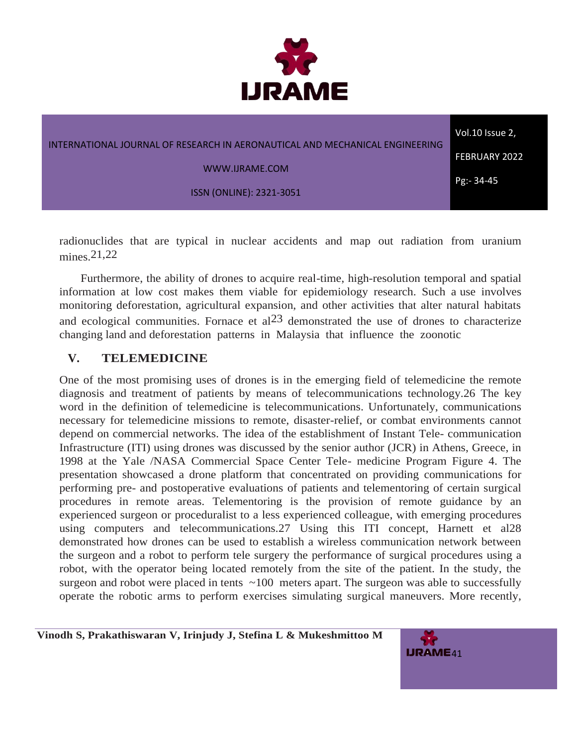

| INTERNATIONAL JOURNAL OF RESEARCH IN AERONAUTICAL AND MECHANICAL ENGINEERING | Vol.10 Issue 2,      |
|------------------------------------------------------------------------------|----------------------|
| WWW.IJRAME.COM                                                               | <b>FEBRUARY 2022</b> |
| <b>ISSN (ONLINE): 2321-3051</b>                                              | Pg:-34-45            |
|                                                                              |                      |

radionuclides that are typical in nuclear accidents and map out radiation from uranium mines. 21,22

Furthermore, the ability of drones to acquire real-time, high-resolution temporal and spatial information at low cost makes them viable for epidemiology research. Such a use involves monitoring deforestation, agricultural expansion, and other activities that alter natural habitats and ecological communities. Fornace et al<sup>23</sup> demonstrated the use of drones to characterize changing land and deforestation patterns in Malaysia that influence the zoonotic

# **V. TELEMEDICINE**

One of the most promising uses of drones is in the emerging field of telemedicine the remote diagnosis and treatment of patients by means of telecommunications technology.26 The key word in the definition of telemedicine is telecommunications. Unfortunately, communications necessary for telemedicine missions to remote, disaster-relief, or combat environments cannot depend on commercial networks. The idea of the establishment of Instant Tele- communication Infrastructure (ITI) using drones was discussed by the senior author (JCR) in Athens, Greece, in 1998 at the Yale /NASA Commercial Space Center Tele- medicine Program Figure 4. The presentation showcased a drone platform that concentrated on providing communications for performing pre- and postoperative evaluations of patients and telementoring of certain surgical procedures in remote areas. Telementoring is the provision of remote guidance by an experienced surgeon or proceduralist to a less experienced colleague, with emerging procedures using computers and telecommunications.27 Using this ITI concept, Harnett et al28 demonstrated how drones can be used to establish a wireless communication network between the surgeon and a robot to perform tele surgery the performance of surgical procedures using a robot, with the operator being located remotely from the site of the patient. In the study, the surgeon and robot were placed in tents  $\sim$ 100 meters apart. The surgeon was able to successfully operate the robotic arms to perform exercises simulating surgical maneuvers. More recently,

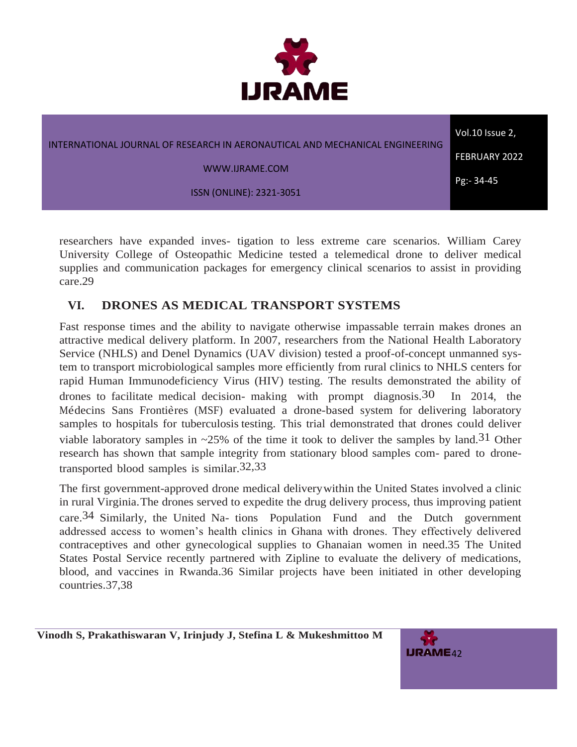

| INTERNATIONAL JOURNAL OF RESEARCH IN AERONAUTICAL AND MECHANICAL ENGINEERING | Vol.10 Issue 2,      |
|------------------------------------------------------------------------------|----------------------|
| WWW.IJRAME.COM                                                               | <b>FEBRUARY 2022</b> |
| <b>ISSN (ONLINE): 2321-3051</b>                                              | Pg:- 34-45           |
|                                                                              |                      |

researchers have expanded inves- tigation to less extreme care scenarios. William Carey University College of Osteopathic Medicine tested a telemedical drone to deliver medical supplies and communication packages for emergency clinical scenarios to assist in providing care.29

# **VI. DRONES AS MEDICAL TRANSPORT SYSTEMS**

Fast response times and the ability to navigate otherwise impassable terrain makes drones an attractive medical delivery platform. In 2007, researchers from the National Health Laboratory Service (NHLS) and Denel Dynamics (UAV division) tested a proof-of-concept unmanned system to transport microbiological samples more efficiently from rural clinics to NHLS centers for rapid Human Immunodeficiency Virus (HIV) testing. The results demonstrated the ability of drones to facilitate medical decision- making with prompt diagnosis.<sup>30</sup> In 2014, the Médecins Sans Frontières (MSF) evaluated a drone-based system for delivering laboratory samples to hospitals for tuberculosis testing. This trial demonstrated that drones could deliver viable laboratory samples in  $\sim$ 25% of the time it took to deliver the samples by land.<sup>31</sup> Other research has shown that sample integrity from stationary blood samples com- pared to dronetransported blood samples is similar.32,33

The first government-approved drone medical deliverywithin the United States involved a clinic in rural Virginia.The drones served to expedite the drug delivery process, thus improving patient care.34 Similarly, the United Na- tions Population Fund and the Dutch government addressed access to women's health clinics in Ghana with drones. They effectively delivered contraceptives and other gynecological supplies to Ghanaian women in need.35 The United States Postal Service recently partnered with Zipline to evaluate the delivery of medications, blood, and vaccines in Rwanda.36 Similar projects have been initiated in other developing countries.37,38

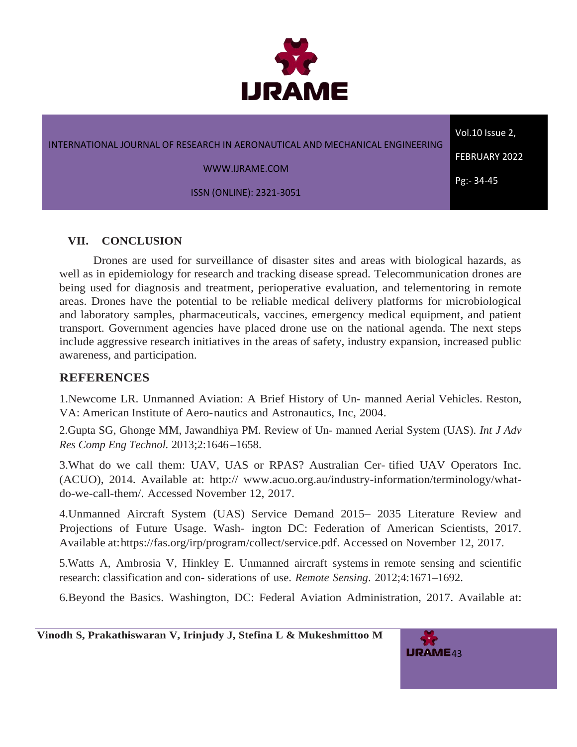

#### INTERNATIONAL JOURNAL OF RESEARCH IN AERONAUTICAL AND MECHANICAL ENGINEERING

WWW.IJRAME.COM

ISSN (ONLINE): 2321-3051

**VII. CONCLUSION**

Drones are used for surveillance of disaster sites and areas with biological hazards, as well as in epidemiology for research and tracking disease spread. Telecommunication drones are being used for diagnosis and treatment, perioperative evaluation, and telementoring in remote areas. Drones have the potential to be reliable medical delivery platforms for microbiological and laboratory samples, pharmaceuticals, vaccines, emergency medical equipment, and patient transport. Government agencies have placed drone use on the national agenda. The next steps include aggressive research initiatives in the areas of safety, industry expansion, increased public awareness, and participation.

#### **REFERENCES**

1.Newcome LR. Unmanned Aviation: A Brief History of Un- manned Aerial Vehicles. Reston, VA: American Institute of Aero-nautics and Astronautics, Inc, 2004.

2.Gupta SG, Ghonge MM, Jawandhiya PM. Review of Un- manned Aerial System (UAS). *Int J Adv Res Comp Eng Technol.* 2013;2:1646 –1658.

3.What do we call them: UAV, UAS or RPAS? Australian Cer- tified UAV Operators Inc. (ACUO), 2014. Available at: [http://](http://www.acuo.org.au/industry-information/terminology/what-do-we-call-them/) [www.acuo.org.au/industry-information/terminology/what](http://www.acuo.org.au/industry-information/terminology/what-do-we-call-them/)[do-we-call-them/.](http://www.acuo.org.au/industry-information/terminology/what-do-we-call-them/) Accessed November 12, 2017.

4.Unmanned Aircraft System (UAS) Service Demand 2015– 2035 Literature Review and Projections of Future Usage. Wash- ington DC: Federation of American Scientists, 2017. Available at[:https://fas.org/irp/program/collect/service.pdf.](https://fas.org/irp/program/collect/service.pdf) Accessed on November 12, 2017.

5.Watts A, Ambrosia V, Hinkley E. Unmanned aircraft systems in remote sensing and scientific research: classification and con- siderations of use. *Remote Sensing*. 2012;4:1671–1692.

6.Beyond the Basics. Washington, DC: Federal Aviation Administration, 2017. Available at:

 **Vinodh S, Prakathiswaran V, Irinjudy J, Stefina L & Mukeshmittoo M**



Vol.10 Issue 2, FEBRUARY 2022

Pg:- 34-45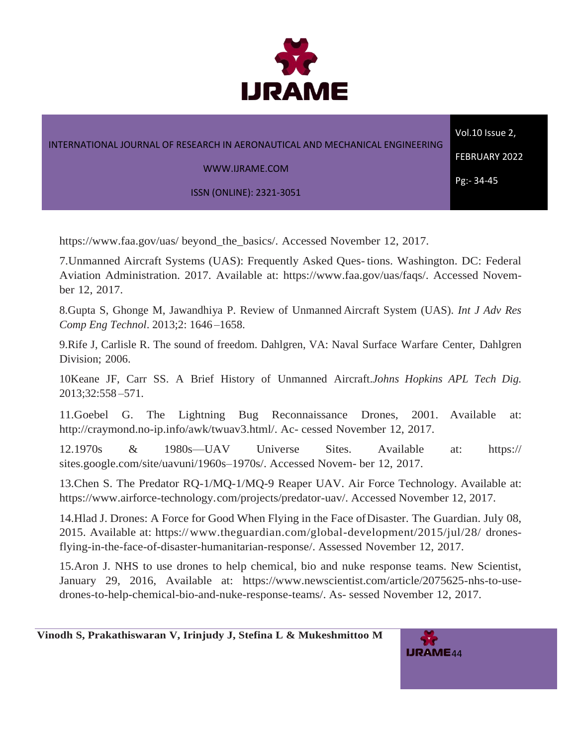

|                                                                              | Vol.10 Issue 2,      |
|------------------------------------------------------------------------------|----------------------|
| INTERNATIONAL JOURNAL OF RESEARCH IN AERONAUTICAL AND MECHANICAL ENGINEERING | <b>FEBRUARY 2022</b> |
| WWW.IJRAME.COM                                                               | Pg:- 34-45           |
| ISSN (ONLINE): 2321-3051                                                     |                      |

[https://www.faa.gov/uas/](https://www.faa.gov/uas/beyond_the_basics/) [beyond\\_the\\_basics/.](https://www.faa.gov/uas/beyond_the_basics/) Accessed November 12, 2017.

7.Unmanned Aircraft Systems (UAS): Frequently Asked Ques- tions. Washington. DC: Federal Aviation Administration. 2017. Available at: [https://www.faa.gov/uas/faqs/.](https://www.faa.gov/uas/faqs/) Accessed November 12, 2017.

8.Gupta S, Ghonge M, Jawandhiya P. Review of Unmanned Aircraft System (UAS). *Int J Adv Res Comp Eng Technol*. 2013;2: 1646 –1658.

9.Rife J, Carlisle R. The sound of freedom. Dahlgren, VA: Naval Surface Warfare Center, Dahlgren Division; 2006.

10Keane JF, Carr SS. A Brief History of Unmanned Aircraft.*Johns Hopkins APL Tech Dig.* 2013;32:558 –571.

11.Goebel G. The Lightning Bug Reconnaissance Drones, 2001. Available at: [http://craymond.no-ip.info/awk/twuav3.html/. A](http://craymond.no-ip.info/awk/twuav3.html/)c- cessed November 12, 2017.

12.1970s & 1980s—UAV Universe Sites. Available at: [https://](https://sites.google.com/site/uavuni/1960s�1970s/) [sites.google.com/site/uavuni/1960s–1970s/.](https://sites.google.com/site/uavuni/1960s�1970s/) Accessed Novem- ber 12, 2017.

13.Chen S. The Predator RQ-1/MQ-1/MQ-9 Reaper UAV. Air Force Technology. Available at: [https://www.airforce-technology.com/projects/predator-uav/.](https://www.airforce-technology.com/projects/predator-uav/) Accessed November 12, 2017.

14.Hlad J. Drones: A Force for Good When Flying in the Face ofDisaster. The Guardian. July 08, 2015. Available at: [https://www.theguardian.com/global-development/2015/jul/28/](https://www.theguardian.com/global-development/2015/jul/28/drones-flying-in-the-face-of-disaster-humanitarian-response/) [drones](https://www.theguardian.com/global-development/2015/jul/28/drones-flying-in-the-face-of-disaster-humanitarian-response/)[flying-in-the-face-of-disaster-humanitarian-response/.](https://www.theguardian.com/global-development/2015/jul/28/drones-flying-in-the-face-of-disaster-humanitarian-response/) Assessed November 12, 2017.

15.Aron J. NHS to use drones to help chemical, bio and nuke response teams. New Scientist, January 29, 2016, Available at: [https://www.newscientist.com/article/2075625-nhs-to-use](https://www.newscientist.com/article/2075625-nhs-to-use-drones-to-help-chemical-bio-and-nuke-response-teams/)[drones-to-help-chemical-bio-and-nuke-response-teams/.](https://www.newscientist.com/article/2075625-nhs-to-use-drones-to-help-chemical-bio-and-nuke-response-teams/) As- sessed November 12, 2017.